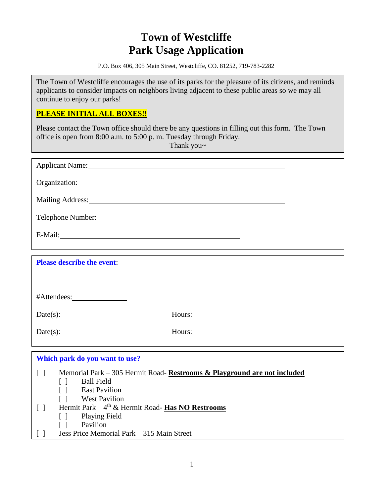# **Town of Westcliffe Park Usage Application**

P.O. Box 406, 305 Main Street, Westcliffe, CO. 81252, 719-783-2282

The Town of Westcliffe encourages the use of its parks for the pleasure of its citizens, and reminds applicants to consider impacts on neighbors living adjacent to these public areas so we may all continue to enjoy our parks!

## **PLEASE INITIAL ALL BOXES!!**

Please contact the Town office should there be any questions in filling out this form. The Town office is open from 8:00 a.m. to 5:00 p. m. Tuesday through Friday.

Thank you~

| Applicant Name: 1986 and 2008 and 2008 and 2008 and 2008 and 2008 and 2008 and 2008 and 2008 and 2008 and 2008 and 2008 and 2008 and 2008 and 2008 and 2008 and 2008 and 2008 and 2008 and 2008 and 2008 and 2008 and 2008 and       |                                                                                                                  |  |  |  |  |
|--------------------------------------------------------------------------------------------------------------------------------------------------------------------------------------------------------------------------------------|------------------------------------------------------------------------------------------------------------------|--|--|--|--|
| Organization: Contract of the Contract of the Contract of the Contract of the Contract of the Contract of the Contract of the Contract of the Contract of the Contract of the Contract of the Contract of the Contract of the        |                                                                                                                  |  |  |  |  |
|                                                                                                                                                                                                                                      |                                                                                                                  |  |  |  |  |
|                                                                                                                                                                                                                                      | Mailing Address: 1988 and 2008 and 2008 and 2008 and 2008 and 2008 and 2008 and 2008 and 2008 and 2008 and 200   |  |  |  |  |
| Telephone Number: <u>contract and the set of the set of the set of the set of the set of the set of the set of the set of the set of the set of the set of the set of the set of the set of the set of the set of the set of the</u> |                                                                                                                  |  |  |  |  |
| E-Mail: 2008 and 2008 and 2008 and 2008 and 2008 and 2008 and 2008 and 2008 and 2008 and 2008 and 2008 and 200                                                                                                                       |                                                                                                                  |  |  |  |  |
|                                                                                                                                                                                                                                      |                                                                                                                  |  |  |  |  |
|                                                                                                                                                                                                                                      |                                                                                                                  |  |  |  |  |
| Please describe the event: <u>contract and the contract of the set of the set of the set of the set of the set of the set of the set of the set of the set of the set of the set of the set of the set of the set of the set of </u> |                                                                                                                  |  |  |  |  |
|                                                                                                                                                                                                                                      |                                                                                                                  |  |  |  |  |
|                                                                                                                                                                                                                                      |                                                                                                                  |  |  |  |  |
|                                                                                                                                                                                                                                      |                                                                                                                  |  |  |  |  |
|                                                                                                                                                                                                                                      |                                                                                                                  |  |  |  |  |
|                                                                                                                                                                                                                                      | $Date(s):$ Hours:                                                                                                |  |  |  |  |
|                                                                                                                                                                                                                                      |                                                                                                                  |  |  |  |  |
|                                                                                                                                                                                                                                      | $Date(s):$ Hours:                                                                                                |  |  |  |  |
|                                                                                                                                                                                                                                      |                                                                                                                  |  |  |  |  |
| Which park do you want to use?                                                                                                                                                                                                       |                                                                                                                  |  |  |  |  |
| $\lceil \rceil$                                                                                                                                                                                                                      |                                                                                                                  |  |  |  |  |
|                                                                                                                                                                                                                                      | Memorial Park – 305 Hermit Road- Restrooms & Playground are not included<br><b>Ball Field</b><br>$\lceil \rceil$ |  |  |  |  |
|                                                                                                                                                                                                                                      | <b>East Pavilion</b><br>$\Box$                                                                                   |  |  |  |  |
|                                                                                                                                                                                                                                      | <b>West Pavilion</b><br>$\lceil$ $\rceil$                                                                        |  |  |  |  |
| $\lceil \rceil$                                                                                                                                                                                                                      | Hermit Park - 4 <sup>th</sup> & Hermit Road- Has NO Restrooms                                                    |  |  |  |  |
|                                                                                                                                                                                                                                      | <b>Playing Field</b><br>$\lceil$ $\rceil$                                                                        |  |  |  |  |
|                                                                                                                                                                                                                                      | Pavilion<br>$\lceil \ \rceil$                                                                                    |  |  |  |  |
| $\Box$                                                                                                                                                                                                                               | Jess Price Memorial Park – 315 Main Street                                                                       |  |  |  |  |
|                                                                                                                                                                                                                                      |                                                                                                                  |  |  |  |  |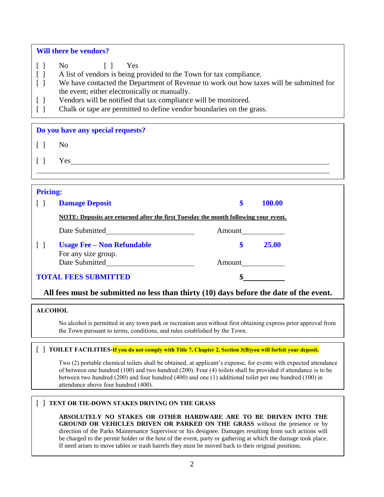### **Will there be vendors?**

- [ ] No [ ] Yes
- [ ] A list of vendors is being provided to the Town for tax compliance.
- [ ] We have contacted the Department of Revenue to work out how taxes will be submitted for the event; either electronically or manually.
- [ ] Vendors will be notified that tax compliance will be monitored.
- [ ] Chalk or tape are permitted to define vendor boundaries on the grass.

**Do you have any special requests?** 

 $\begin{bmatrix} 1 \\ 0 \end{bmatrix}$  No

[ ] Yes

# **Pricing:**

| <b>THUME.</b>               |                                                                                     |        |               |
|-----------------------------|-------------------------------------------------------------------------------------|--------|---------------|
|                             | <b>Damage Deposit</b>                                                               | \$     | <b>100.00</b> |
|                             | NOTE: Deposits are returned after the first Tuesday the month following your event. |        |               |
|                             | Date Submitted                                                                      | Amount |               |
|                             | <b>Usage Fee – Non Refundable</b><br>For any size group.                            | S      | 25.00         |
|                             | Date Submitted                                                                      | Amount |               |
| <b>TOTAL FEES SUBMITTED</b> |                                                                                     |        |               |
|                             |                                                                                     |        |               |

## **All fees must be submitted no less than thirty (10) days before the date of the event.**

#### **ALCOHOL**

No alcohol is permitted in any town park or recreation area without first obtaining express prior approval from the Town pursuant to terms, conditions, and rules established by the Town.

#### [ ] **TOILET FACILITIES-If you do not comply with Title 7, Chapter 2, Section 3(B)you will forfeit your deposit.**

Two (2) portable chemical toilets shall be obtained, at applicant's expense, for events with expected attendance of between one hundred (100) and two hundred (200). Four (4) toilets shall be provided if attendance is to be between two hundred (200) and four hundred (400) and one (1) additional toilet per one hundred (100) in attendance above four hundred (400).

## [ ] **TENT OR TIE-DOWN STAKES DRIVING ON THE GRASS**

**ABSOLUTELY NO STAKES OR OTHER HARDWARE ARE TO BE DRIVEN INTO THE GROUND OR VEHICLES DRIVEN OR PARKED ON THE GRASS** without the presence or by direction of the Parks Maintenance Supervisor or his designee. Damages resulting from such actions will be charged to the permit holder or the host of the event, party or gathering at which the damage took place. If need arises to move tables or trash barrels they must be moved back to their original positions.